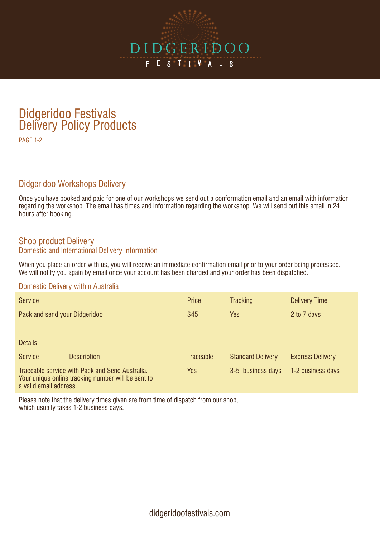

## Didgeridoo Festivals Delivery Policy Products

PAGE 1-2

## Didgeridoo Workshops Delivery

Once you have booked and paid for one of our workshops we send out a conformation email and an email with information regarding the workshop. The email has times and information regarding the workshop. We will send out this email in 24 hours after booking.

## Shop product Delivery Domestic and International Delivery Information

When you place an order with us, you will receive an immediate confirmation email prior to your order being processed. We will notify you again by email once your account has been charged and your order has been dispatched.

#### Domestic Delivery within Australia

| <b>Service</b>                |                                                                                                       | Price            | <b>Tracking</b>          | <b>Delivery Time</b>    |
|-------------------------------|-------------------------------------------------------------------------------------------------------|------------------|--------------------------|-------------------------|
| Pack and send your Didgeridoo |                                                                                                       | \$45             | <b>Yes</b>               | 2 to 7 days             |
|                               |                                                                                                       |                  |                          |                         |
| <b>Details</b>                |                                                                                                       |                  |                          |                         |
| <b>Service</b>                | <b>Description</b>                                                                                    | <b>Traceable</b> | <b>Standard Delivery</b> | <b>Express Delivery</b> |
| a valid email address.        | Traceable service with Pack and Send Australia.<br>Your unique online tracking number will be sent to | Yes              | 3-5 business days        | 1-2 business days       |

Please note that the delivery times given are from time of dispatch from our shop, which usually takes 1-2 business days.